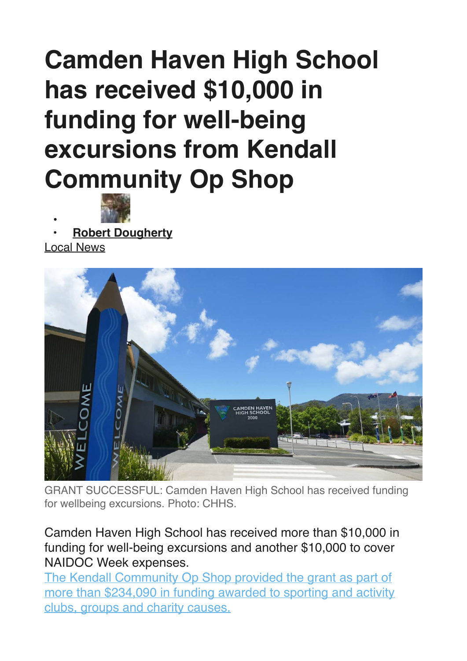## **Camden Haven High School has received \$10,000 in funding for well-being excursions from Kendall Community Op Shop**



**• • [Robert Dougherty](https://www.camdencourier.com.au/profile/912/robert-dougherty)**

[Local News](https://www.camdencourier.com.au/news/local-news/)



GRANT SUCCESSFUL: Camden Haven High School has received funding for wellbeing excursions. Photo: CHHS.

Camden Haven High School has received more than \$10,000 in funding for well-being excursions and another \$10,000 to cover NAIDOC Week expenses.

[The Kendall Community Op Shop provided the grant as part of](https://www.portnews.com.au/story/6694593/kendall-op-shop-passes-million-dollar-milestone/)  [more than \\$234,090 in funding awarded to sporting and activity](https://www.portnews.com.au/story/6694593/kendall-op-shop-passes-million-dollar-milestone/)  [clubs, groups and charity causes.](https://www.portnews.com.au/story/6694593/kendall-op-shop-passes-million-dollar-milestone/)